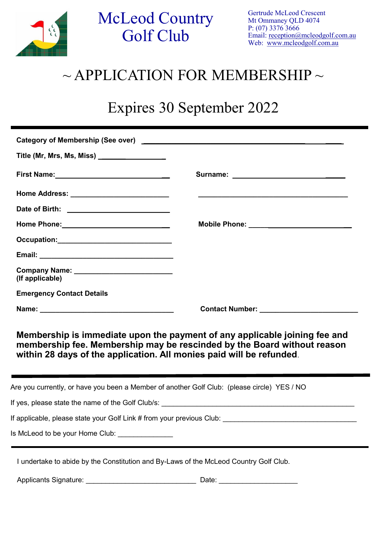

 $\frac{1}{2}$ 

## McLeod Country Golf Club

## $\sim$  APPLICATION FOR MEMBERSHIP  $\sim$

## Expires 30 September 2022

| Title (Mr, Mrs, Ms, Miss) _________________                                                 |                                                                                                                                                       |
|---------------------------------------------------------------------------------------------|-------------------------------------------------------------------------------------------------------------------------------------------------------|
|                                                                                             |                                                                                                                                                       |
|                                                                                             |                                                                                                                                                       |
|                                                                                             |                                                                                                                                                       |
|                                                                                             | Mobile Phone: ___________________________                                                                                                             |
|                                                                                             |                                                                                                                                                       |
|                                                                                             |                                                                                                                                                       |
| Company Name: __________________________<br>(If applicable)                                 |                                                                                                                                                       |
| <b>Emergency Contact Details</b>                                                            |                                                                                                                                                       |
|                                                                                             |                                                                                                                                                       |
| within 28 days of the application. All monies paid will be refunded.                        | Membership is immediate upon the payment of any applicable joining fee and<br>membership fee. Membership may be rescinded by the Board without reason |
| Are you currently, or have you been a Member of another Golf Club: (please circle) YES / NO |                                                                                                                                                       |
|                                                                                             |                                                                                                                                                       |
| If applicable, please state your Golf Link # from your previous Club:                       |                                                                                                                                                       |
| Is McLeod to be your Home Club:                                                             |                                                                                                                                                       |
| I undertake to abide by the Constitution and By-Laws of the McLeod Country Golf Club.       |                                                                                                                                                       |

Applicants Signature: \_\_\_\_\_\_\_\_\_\_\_\_\_\_\_\_\_\_\_\_\_\_\_\_\_\_\_\_ Date: \_\_\_\_\_\_\_\_\_\_\_\_\_\_\_\_\_\_\_\_